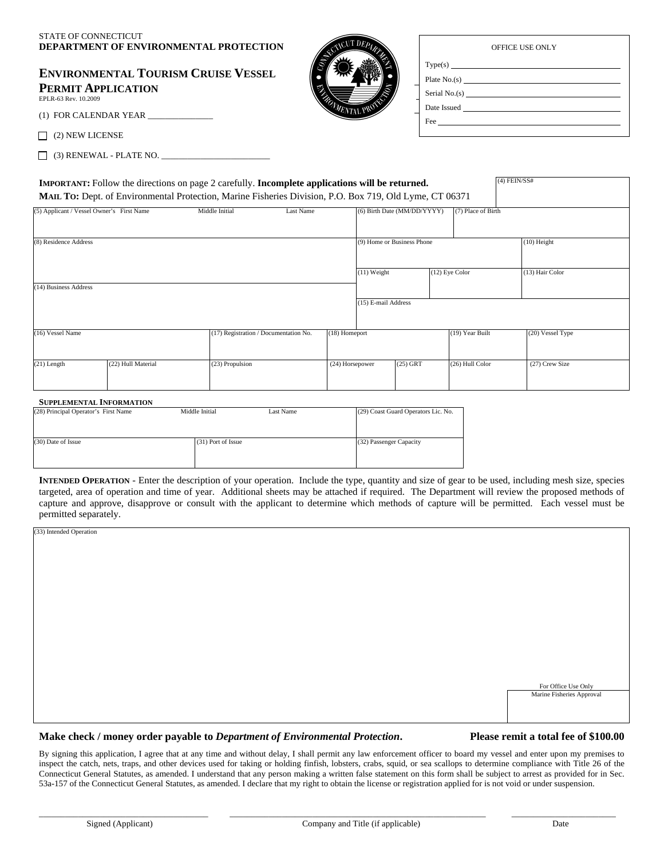| <b>OFFICE USE ONLY</b> |  |
|------------------------|--|

| <b>ENVIRONMENTAL TOURISM CRUISE VESSEL</b> |
|--------------------------------------------|
| PERMIT APPLICATION                         |
| EPLR-63 Rev. 10.2009                       |

(1) FOR CALENDAR YEAR

 $\Box$  (2) NEW LICENSE

 $\Box$  (3) RENEWAL - PLATE NO.  $\Box$ 



| Serial No.(s) $\qquad \qquad$ |  |  |
|-------------------------------|--|--|
|                               |  |  |
|                               |  |  |

|                                           |                    | IMPORTANT: Follow the directions on page 2 carefully. Incomplete applications will be returned.<br>MAIL To: Dept. of Environmental Protection, Marine Fisheries Division, P.O. Box 719, Old Lyme, CT 06371 |                 |                     |                             |                    | $(4)$ FEIN/SS# |                  |
|-------------------------------------------|--------------------|------------------------------------------------------------------------------------------------------------------------------------------------------------------------------------------------------------|-----------------|---------------------|-----------------------------|--------------------|----------------|------------------|
| (5) Applicant / Vessel Owner's First Name |                    | Middle Initial<br><b>Last Name</b>                                                                                                                                                                         |                 |                     | (6) Birth Date (MM/DD/YYYY) | (7) Place of Birth |                |                  |
| (8) Residence Address                     |                    |                                                                                                                                                                                                            |                 |                     | (9) Home or Business Phone  |                    |                | $(10)$ Height    |
| (14) Business Address                     |                    |                                                                                                                                                                                                            |                 | $(11)$ Weight       |                             | (12) Eye Color     |                | (13) Hair Color  |
|                                           |                    |                                                                                                                                                                                                            |                 | (15) E-mail Address |                             |                    |                |                  |
| (16) Vessel Name                          |                    | (17) Registration / Documentation No.                                                                                                                                                                      | (18) Homeport   |                     |                             | (19) Year Built    |                | (20) Vessel Type |
| $(21)$ Length                             | (22) Hull Material | (23) Propulsion                                                                                                                                                                                            | (24) Horsepower |                     | $(25)$ GRT                  | (26) Hull Color    |                | (27) Crew Size   |

#### **SUPPLEMENTAL INFORMATION**

| (28) Principal Operator's First Name | Middle Initial     | Last Name | (29) Coast Guard Operators Lic. No. |
|--------------------------------------|--------------------|-----------|-------------------------------------|
|                                      |                    |           |                                     |
|                                      |                    |           |                                     |
| (30) Date of Issue                   | (31) Port of Issue |           | (32) Passenger Capacity             |
|                                      |                    |           |                                     |
|                                      |                    |           |                                     |

**INTENDED OPERATION** - Enter the description of your operation. Include the type, quantity and size of gear to be used, including mesh size, species targeted, area of operation and time of year. Additional sheets may be attached if required. The Department will review the proposed methods of capture and approve, disapprove or consult with the applicant to determine which methods of capture will be permitted. Each vessel must be permitted separately.

| (33) Intended Operation |                                                  |
|-------------------------|--------------------------------------------------|
|                         |                                                  |
|                         |                                                  |
|                         |                                                  |
|                         |                                                  |
|                         |                                                  |
|                         |                                                  |
|                         |                                                  |
|                         |                                                  |
|                         |                                                  |
|                         |                                                  |
|                         |                                                  |
|                         |                                                  |
|                         |                                                  |
|                         |                                                  |
|                         |                                                  |
|                         |                                                  |
|                         |                                                  |
|                         |                                                  |
|                         |                                                  |
|                         |                                                  |
|                         |                                                  |
|                         |                                                  |
|                         |                                                  |
|                         | For Office Use Only<br>Marine Fisheries Approval |
|                         |                                                  |
|                         |                                                  |
|                         |                                                  |
|                         |                                                  |
|                         |                                                  |

#### **Make check / money order payable to** *Department of Environmental Protection***. Please remit a total fee of \$100.00**

By signing this application, I agree that at any time and without delay, I shall permit any law enforcement officer to board my vessel and enter upon my premises to inspect the catch, nets, traps, and other devices used for taking or holding finfish, lobsters, crabs, squid, or sea scallops to determine compliance with Title 26 of the Connecticut General Statutes, as amended. I understand that any person making a written false statement on this form shall be subject to arrest as provided for in Sec. 53a-157 of the Connecticut General Statutes, as amended. I declare that my right to obtain the license or registration applied for is not void or under suspension.

 $\_$  , and the set of the set of the set of the set of the set of the set of the set of the set of the set of the set of the set of the set of the set of the set of the set of the set of the set of the set of the set of th